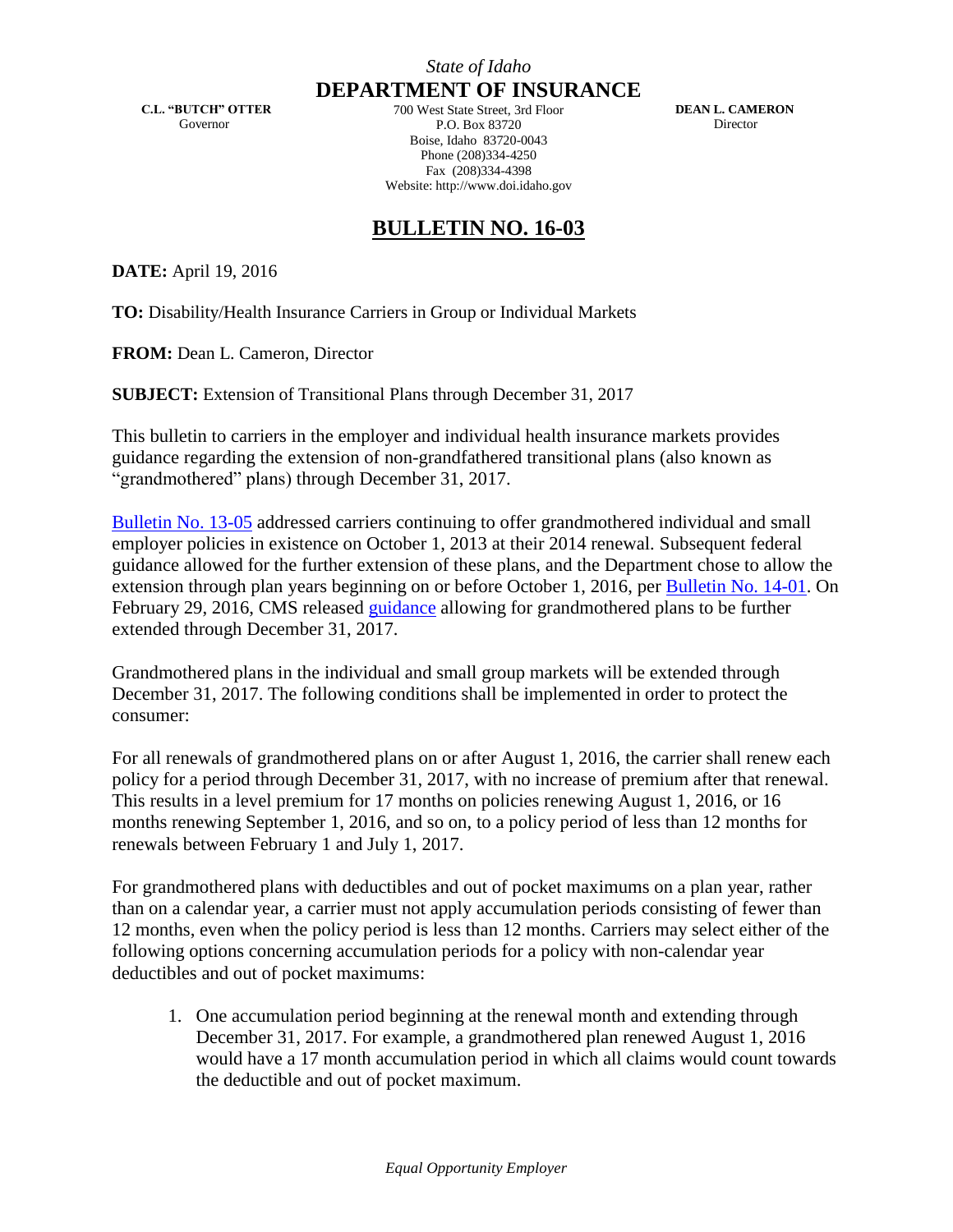**C.L. "BUTCH" OTTER** Governor

**DEPARTMENT OF INSURANCE** 700 West State Street, 3rd Floor P.O. Box 83720 Boise, Idaho 83720-0043 Phone (208)334-4250 Fax (208)334-4398 Website: http://www.doi.idaho.gov

 **DEAN L. CAMERON** Director

## **BULLETIN NO. 16-03**

**DATE:** April 19, 2016

**TO:** Disability/Health Insurance Carriers in Group or Individual Markets

**FROM:** Dean L. Cameron, Director

**SUBJECT:** Extension of Transitional Plans through December 31, 2017

This bulletin to carriers in the employer and individual health insurance markets provides guidance regarding the extension of non-grandfathered transitional plans (also known as "grandmothered" plans) through December 31, 2017.

[Bulletin No. 13-05](http://www.doi.idaho.gov/laws/13_05.pdf) addressed carriers continuing to offer grandmothered individual and small employer policies in existence on October 1, 2013 at their 2014 renewal. Subsequent federal guidance allowed for the further extension of these plans, and the Department chose to allow the extension through plan years beginning on or before October 1, 2016, per [Bulletin No. 14-01.](http://www.doi.idaho.gov/laws/14_01.pdf) On February 29, 2016, CMS released [guidance](https://www.cms.gov/CCIIO/Resources/Regulations-and-Guidance/Downloads/final-transition-bulletin-2-29-16.pdf) allowing for grandmothered plans to be further extended through December 31, 2017.

Grandmothered plans in the individual and small group markets will be extended through December 31, 2017. The following conditions shall be implemented in order to protect the consumer:

For all renewals of grandmothered plans on or after August 1, 2016, the carrier shall renew each policy for a period through December 31, 2017, with no increase of premium after that renewal. This results in a level premium for 17 months on policies renewing August 1, 2016, or 16 months renewing September 1, 2016, and so on, to a policy period of less than 12 months for renewals between February 1 and July 1, 2017.

For grandmothered plans with deductibles and out of pocket maximums on a plan year, rather than on a calendar year, a carrier must not apply accumulation periods consisting of fewer than 12 months, even when the policy period is less than 12 months. Carriers may select either of the following options concerning accumulation periods for a policy with non-calendar year deductibles and out of pocket maximums:

1. One accumulation period beginning at the renewal month and extending through December 31, 2017. For example, a grandmothered plan renewed August 1, 2016 would have a 17 month accumulation period in which all claims would count towards the deductible and out of pocket maximum.